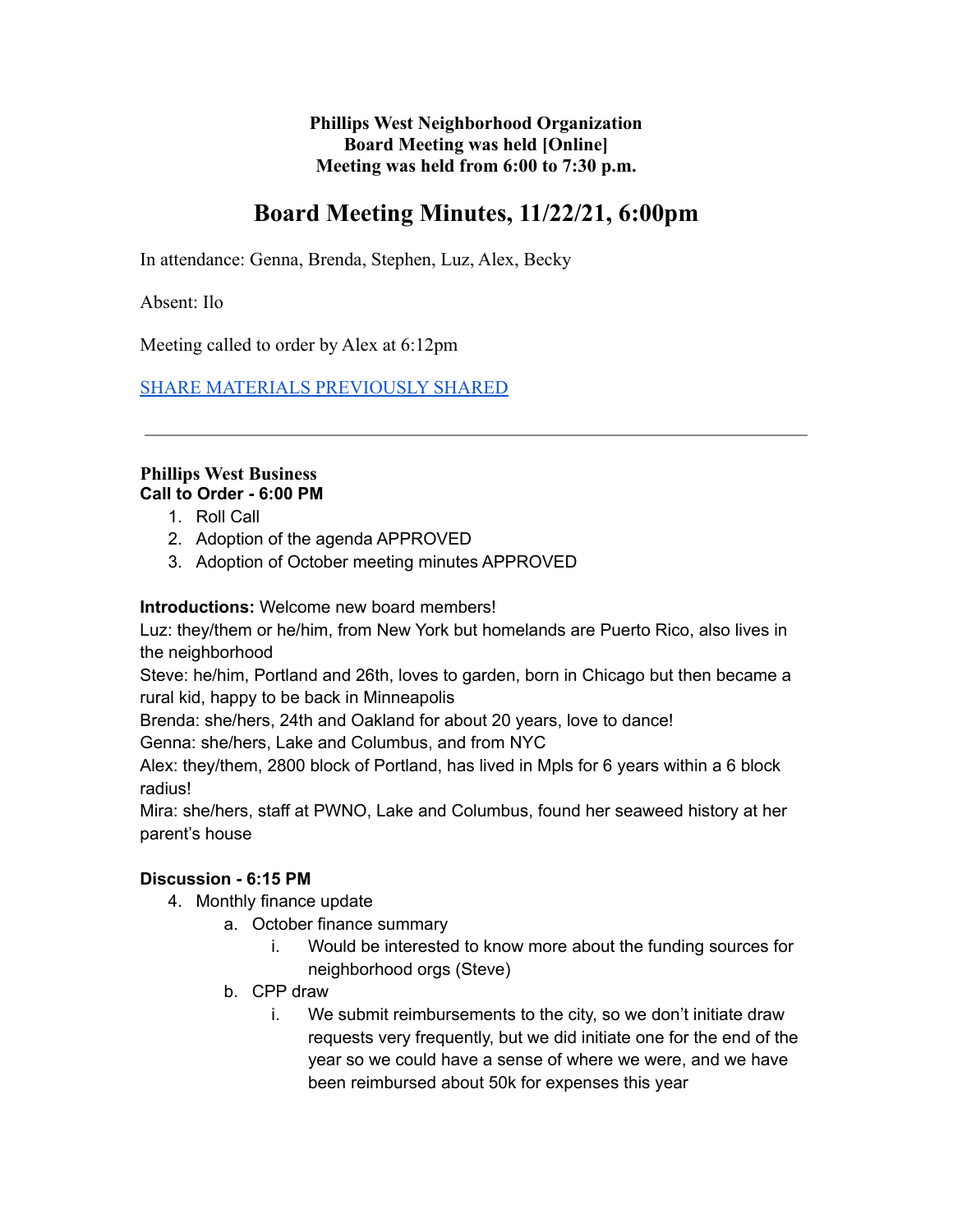**Phillips West Neighborhood Organization Board Meeting was held [Online] Meeting was held from 6:00 to 7:30 p.m.**

# **Board Meeting Minutes, 11/22/21, 6:00pm**

In attendance: Genna, Brenda, Stephen, Luz, Alex, Becky

Absent: Ilo

Meeting called to order by Alex at 6:12pm

[SHARE MATERIALS PREVIOUSLY SHARED](https://drive.google.com/file/d/1imBrU2G_Q8Tb0S6hH0Mzz4jzS_vPP_-6/view?usp=sharing)

### **Phillips West Business Call to Order - 6:00 PM**

- 1. Roll Call
- 2. Adoption of the agenda APPROVED
- 3. Adoption of October meeting minutes APPROVED

**Introductions:** Welcome new board members!

Luz: they/them or he/him, from New York but homelands are Puerto Rico, also lives in the neighborhood

Steve: he/him, Portland and 26th, loves to garden, born in Chicago but then became a rural kid, happy to be back in Minneapolis

Brenda: she/hers, 24th and Oakland for about 20 years, love to dance!

Genna: she/hers, Lake and Columbus, and from NYC

Alex: they/them, 2800 block of Portland, has lived in Mpls for 6 years within a 6 block radius!

Mira: she/hers, staff at PWNO, Lake and Columbus, found her seaweed history at her parent's house

## **Discussion - 6:15 PM**

- 4. Monthly finance update
	- a. October finance summary
		- i. Would be interested to know more about the funding sources for neighborhood orgs (Steve)
	- b. CPP draw
		- i. We submit reimbursements to the city, so we don't initiate draw requests very frequently, but we did initiate one for the end of the year so we could have a sense of where we were, and we have been reimbursed about 50k for expenses this year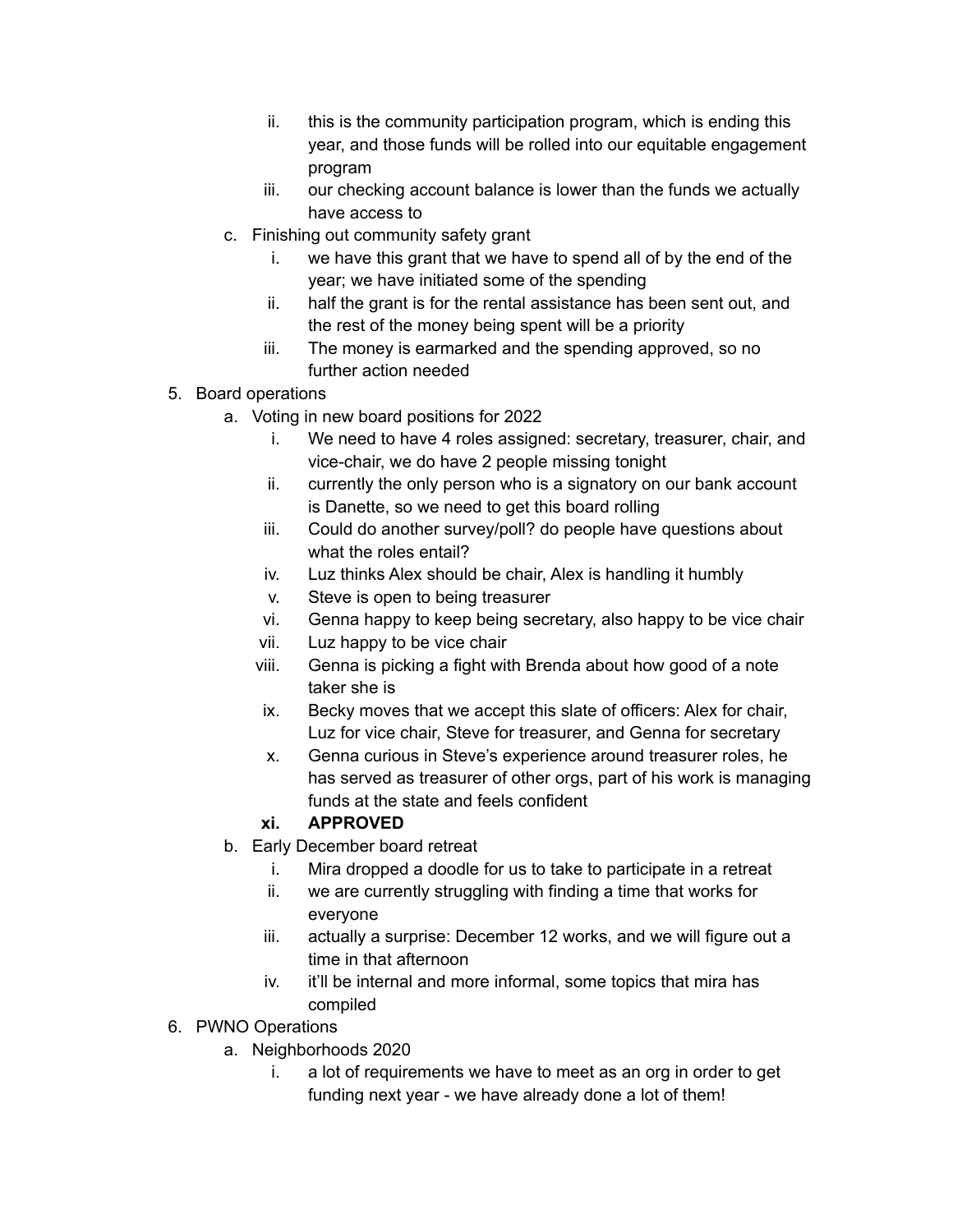- ii. this is the community participation program, which is ending this year, and those funds will be rolled into our equitable engagement program
- iii. our checking account balance is lower than the funds we actually have access to
- c. Finishing out community safety grant
	- i. we have this grant that we have to spend all of by the end of the year; we have initiated some of the spending
	- ii. half the grant is for the rental assistance has been sent out, and the rest of the money being spent will be a priority
	- iii. The money is earmarked and the spending approved, so no further action needed
- 5. Board operations
	- a. Voting in new board positions for 2022
		- i. We need to have 4 roles assigned: secretary, treasurer, chair, and vice-chair, we do have 2 people missing tonight
		- ii. currently the only person who is a signatory on our bank account is Danette, so we need to get this board rolling
		- iii. Could do another survey/poll? do people have questions about what the roles entail?
		- iv. Luz thinks Alex should be chair, Alex is handling it humbly
		- v. Steve is open to being treasurer
		- vi. Genna happy to keep being secretary, also happy to be vice chair
		- vii. Luz happy to be vice chair
		- viii. Genna is picking a fight with Brenda about how good of a note taker she is
		- ix. Becky moves that we accept this slate of officers: Alex for chair, Luz for vice chair, Steve for treasurer, and Genna for secretary
		- x. Genna curious in Steve's experience around treasurer roles, he has served as treasurer of other orgs, part of his work is managing funds at the state and feels confident

# **xi. APPROVED**

- b. Early December board retreat
	- i. Mira dropped a doodle for us to take to participate in a retreat
	- ii. we are currently struggling with finding a time that works for everyone
	- iii. actually a surprise: December 12 works, and we will figure out a time in that afternoon
	- iv. it'll be internal and more informal, some topics that mira has compiled
- 6. PWNO Operations
	- a. Neighborhoods 2020
		- i. a lot of requirements we have to meet as an org in order to get funding next year - we have already done a lot of them!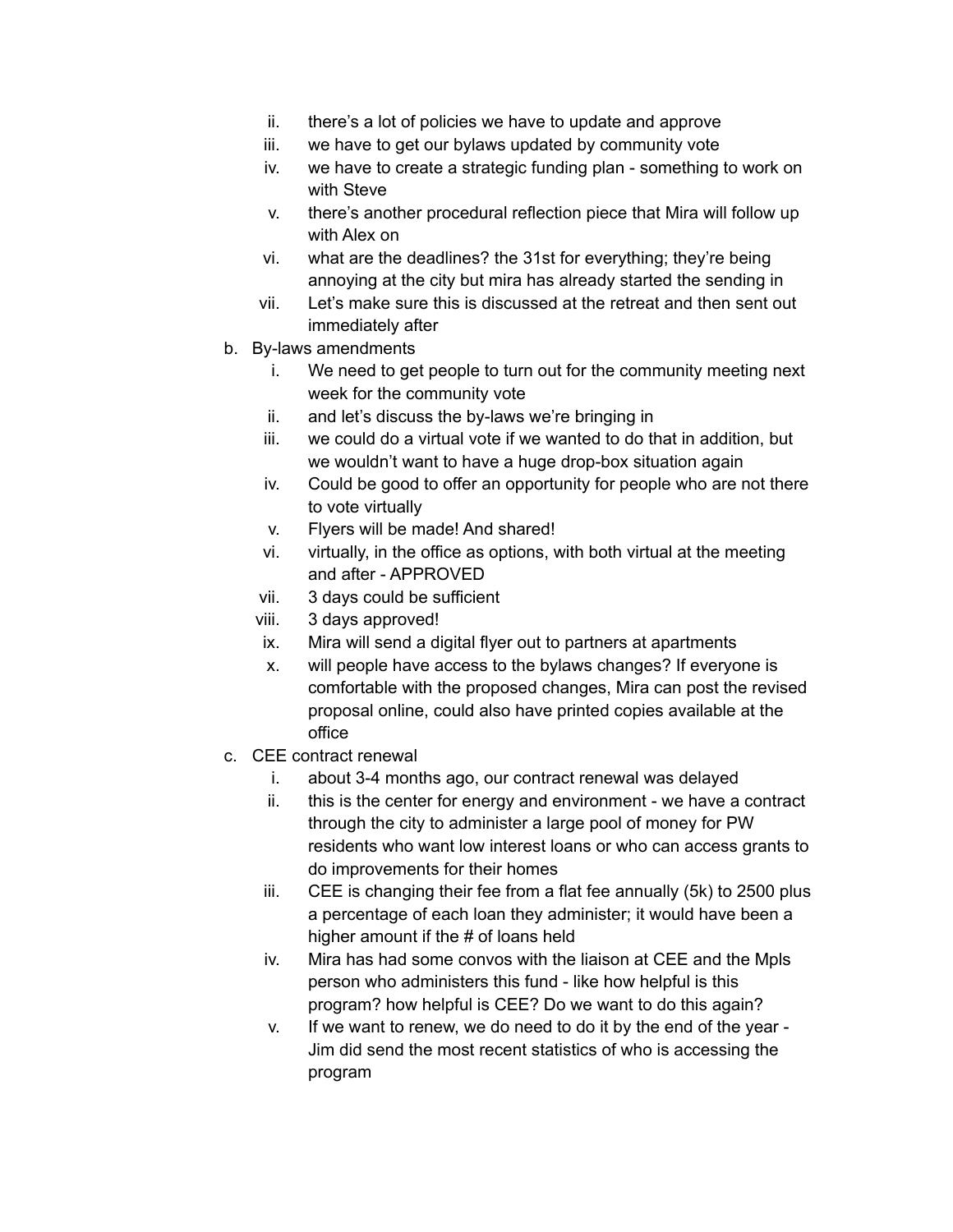- ii. there's a lot of policies we have to update and approve
- iii. we have to get our bylaws updated by community vote
- iv. we have to create a strategic funding plan something to work on with Steve
- v. there's another procedural reflection piece that Mira will follow up with Alex on
- vi. what are the deadlines? the 31st for everything; they're being annoying at the city but mira has already started the sending in
- vii. Let's make sure this is discussed at the retreat and then sent out immediately after
- b. By-laws amendments
	- i. We need to get people to turn out for the community meeting next week for the community vote
	- ii. and let's discuss the by-laws we're bringing in
	- iii. we could do a virtual vote if we wanted to do that in addition, but we wouldn't want to have a huge drop-box situation again
	- iv. Could be good to offer an opportunity for people who are not there to vote virtually
	- v. Flyers will be made! And shared!
	- vi. virtually, in the office as options, with both virtual at the meeting and after - APPROVED
	- vii. 3 days could be sufficient
	- viii. 3 days approved!
	- ix. Mira will send a digital flyer out to partners at apartments
	- x. will people have access to the bylaws changes? If everyone is comfortable with the proposed changes, Mira can post the revised proposal online, could also have printed copies available at the office
- c. CEE contract renewal
	- i. about 3-4 months ago, our contract renewal was delayed
	- ii. this is the center for energy and environment we have a contract through the city to administer a large pool of money for PW residents who want low interest loans or who can access grants to do improvements for their homes
	- iii. CEE is changing their fee from a flat fee annually (5k) to 2500 plus a percentage of each loan they administer; it would have been a higher amount if the # of loans held
	- iv. Mira has had some convos with the liaison at CEE and the Mpls person who administers this fund - like how helpful is this program? how helpful is CEE? Do we want to do this again?
	- v. If we want to renew, we do need to do it by the end of the year Jim did send the most recent statistics of who is accessing the program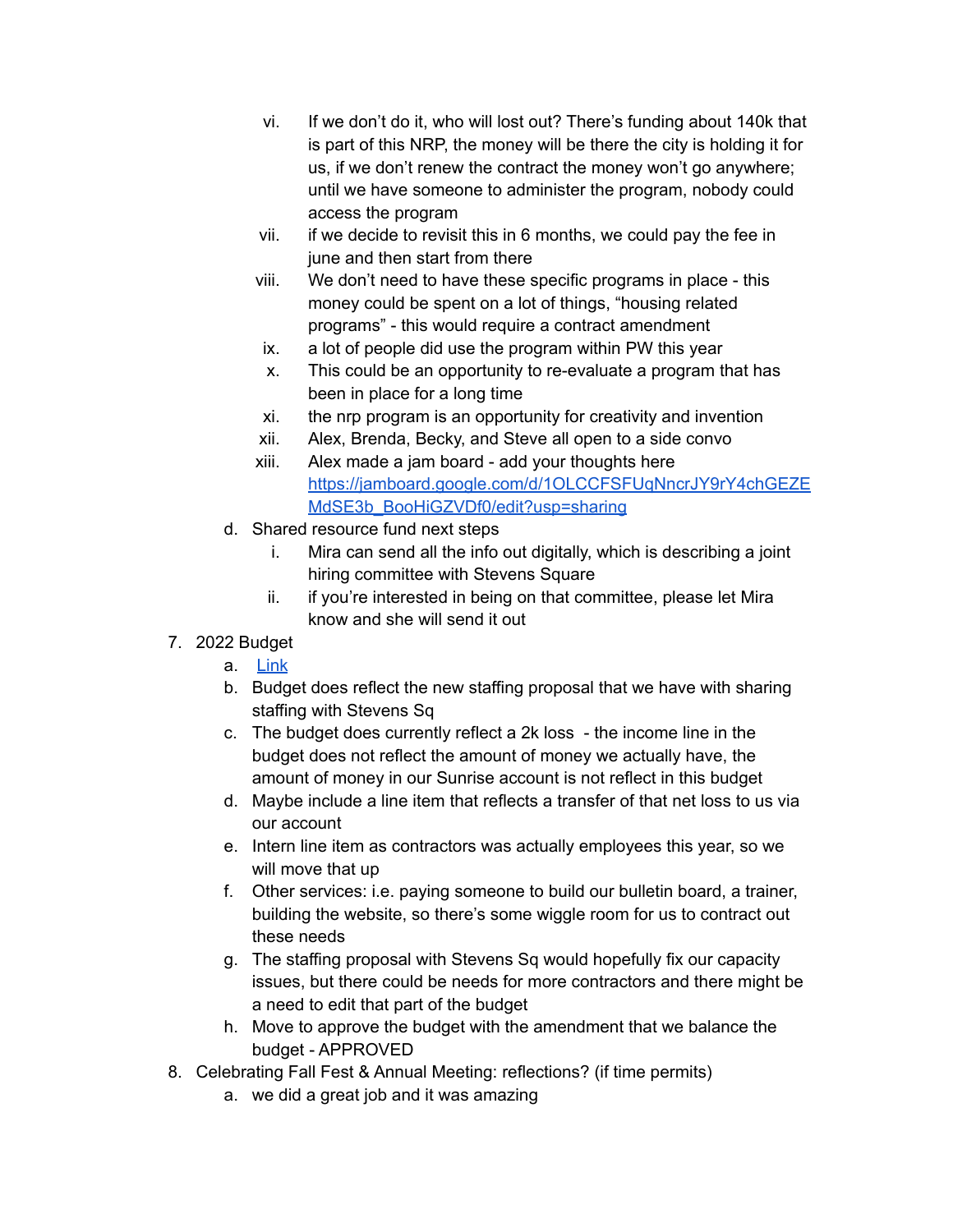- vi. If we don't do it, who will lost out? There's funding about 140k that is part of this NRP, the money will be there the city is holding it for us, if we don't renew the contract the money won't go anywhere; until we have someone to administer the program, nobody could access the program
- vii. if we decide to revisit this in 6 months, we could pay the fee in june and then start from there
- viii. We don't need to have these specific programs in place this money could be spent on a lot of things, "housing related programs" - this would require a contract amendment
- ix. a lot of people did use the program within PW this year
- x. This could be an opportunity to re-evaluate a program that has been in place for a long time
- xi. the nrp program is an opportunity for creativity and invention
- xii. Alex, Brenda, Becky, and Steve all open to a side convo
- xiii. Alex made a jam board add your thoughts here [https://jamboard.google.com/d/1OLCCFSFUqNncrJY9rY4chGEZE](https://jamboard.google.com/d/1OLCCFSFUqNncrJY9rY4chGEZEMdSE3b_BooHiGZVDf0/edit?usp=sharing) [MdSE3b\\_BooHiGZVDf0/edit?usp=sharing](https://jamboard.google.com/d/1OLCCFSFUqNncrJY9rY4chGEZEMdSE3b_BooHiGZVDf0/edit?usp=sharing)
- d. Shared resource fund next steps
	- i. Mira can send all the info out digitally, which is describing a joint hiring committee with Stevens Square
	- ii. if you're interested in being on that committee, please let Mira know and she will send it out
- 7. 2022 Budget
	- a. [Link](https://docs.google.com/spreadsheets/d/1TboZOOZE5v6eN_fhLtiPaokzl7iTc8r3/edit#gid=1756705712)
	- b. Budget does reflect the new staffing proposal that we have with sharing staffing with Stevens Sq
	- c. The budget does currently reflect a 2k loss the income line in the budget does not reflect the amount of money we actually have, the amount of money in our Sunrise account is not reflect in this budget
	- d. Maybe include a line item that reflects a transfer of that net loss to us via our account
	- e. Intern line item as contractors was actually employees this year, so we will move that up
	- f. Other services: i.e. paying someone to build our bulletin board, a trainer, building the website, so there's some wiggle room for us to contract out these needs
	- g. The staffing proposal with Stevens Sq would hopefully fix our capacity issues, but there could be needs for more contractors and there might be a need to edit that part of the budget
	- h. Move to approve the budget with the amendment that we balance the budget - APPROVED
- 8. Celebrating Fall Fest & Annual Meeting: reflections? (if time permits)
	- a. we did a great job and it was amazing